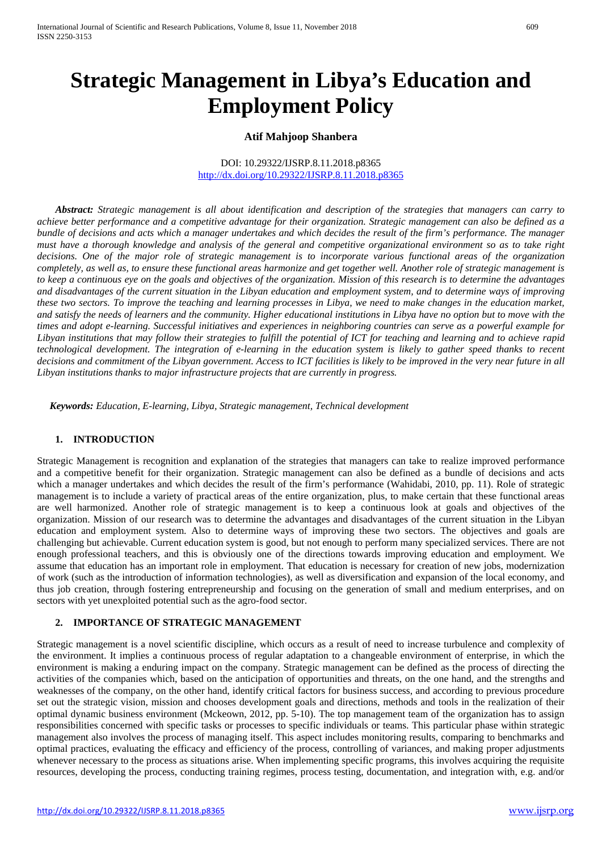# **Strategic Management in Libya's Education and Employment Policy**

#### **Atif Mahjoop Shanbera**

#### DOI: 10.29322/IJSRP.8.11.2018.p8365 <http://dx.doi.org/10.29322/IJSRP.8.11.2018.p8365>

*Abstract: Strategic management is all about identification and description of the strategies that managers can carry to achieve better performance and a competitive advantage for their organization. Strategic management can also be defined as a bundle of decisions and acts which a manager undertakes and which decides the result of the firm's performance. The manager must have a thorough knowledge and analysis of the general and competitive organizational environment so as to take right decisions. One of the major role of strategic management is to incorporate various functional areas of the organization completely, as well as, to ensure these functional areas harmonize and get together well. Another role of strategic management is to keep a continuous eye on the goals and objectives of the organization. Mission of this research is to determine the advantages and disadvantages of the current situation in the Libyan education and employment system, and to determine ways of improving these two sectors. To improve the teaching and learning processes in Libya, we need to make changes in the education market, and satisfy the needs of learners and the community. Higher educational institutions in Libya have no option but to move with the times and adopt e-learning. Successful initiatives and experiences in neighboring countries can serve as a powerful example for Libyan institutions that may follow their strategies to fulfill the potential of ICT for teaching and learning and to achieve rapid technological development. The integration of e-learning in the education system is likely to gather speed thanks to recent decisions and commitment of the Libyan government. Access to ICT facilities is likely to be improved in the very near future in all Libyan institutions thanks to major infrastructure projects that are currently in progress.*

 *Keywords: Education, E-learning, Libya, Strategic management, Technical development*

#### **1. INTRODUCTION**

Strategic Management is recognition and explanation of the strategies that managers can take to realize improved performance and a competitive benefit for their organization. Strategic management can also be defined as a bundle of decisions and acts which a manager undertakes and which decides the result of the firm's performance (Wahidabi, 2010, pp. 11). Role of strategic management is to include a variety of practical areas of the entire organization, plus, to make certain that these functional areas are well harmonized. Another role of strategic management is to keep a continuous look at goals and objectives of the organization. Mission of our research was to determine the advantages and disadvantages of the current situation in the Libyan education and employment system. Also to determine ways of improving these two sectors. The objectives and goals are challenging but achievable. Current education system is good, but not enough to perform many specialized services. There are not enough professional teachers, and this is obviously one of the directions towards improving education and employment. We assume that education has an important role in employment. That education is necessary for creation of new jobs, modernization of work (such as the introduction of information technologies), as well as diversification and expansion of the local economy, and thus job creation, through fostering entrepreneurship and focusing on the generation of small and medium enterprises, and on sectors with yet unexploited potential such as the agro-food sector.

#### **2. IMPORTANCE OF STRATEGIC MANAGEMENT**

Strategic management is a novel scientific discipline, which occurs as a result of need to increase turbulence and complexity of the environment. It implies a continuous process of regular adaptation to a changeable environment of enterprise, in which the environment is making a enduring impact on the company. Strategic management can be defined as the process of directing the activities of the companies which, based on the anticipation of opportunities and threats, on the one hand, and the strengths and weaknesses of the company, on the other hand, identify critical factors for business success, and according to previous procedure set out the strategic vision, mission and chooses development goals and directions, methods and tools in the realization of their optimal dynamic business environment (Mckeown, 2012, pp. 5-10). The top management team of the organization has to assign responsibilities concerned with specific tasks or processes to specific individuals or teams. This particular phase within strategic management also involves the process of managing itself. This aspect includes monitoring results, comparing to benchmarks and optimal practices, evaluating the efficacy and efficiency of the process, controlling of variances, and making proper adjustments whenever necessary to the process as situations arise. When implementing specific programs, this involves acquiring the requisite resources, developing the process, conducting training regimes, process testing, documentation, and integration with, e.g. and/or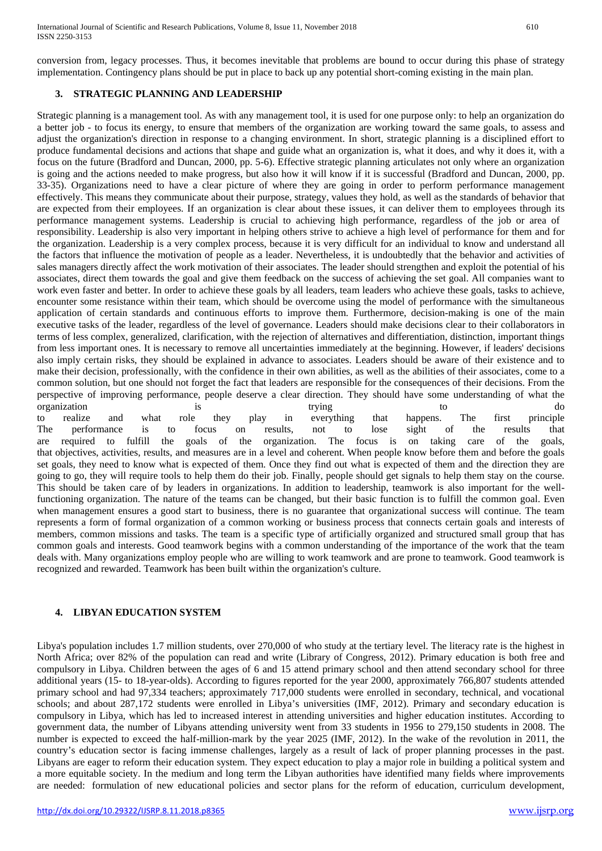conversion from, legacy processes. Thus, it becomes inevitable that problems are bound to occur during this phase of strategy implementation. Contingency plans should be put in place to back up any potential short-coming existing in the main plan.

## **3. STRATEGIC PLANNING AND LEADERSHIP**

Strategic planning is a management tool. As with any management tool, it is used for one purpose only: to help an organization do a better job - to focus its energy, to ensure that members of the organization are working toward the same goals, to assess and adjust the organization's direction in response to a changing environment. In short, strategic planning is a disciplined effort to produce fundamental decisions and actions that shape and guide what an organization is, what it does, and why it does it, with a focus on the future (Bradford and Duncan, 2000, pp. 5-6). Effective strategic planning articulates not only where an organization is going and the actions needed to make progress, but also how it will know if it is successful (Bradford and Duncan, 2000, pp. 33-35). Organizations need to have a clear picture of where they are going in order to perform performance management effectively. This means they communicate about their purpose, strategy, values they hold, as well as the standards of behavior that are expected from their employees. If an organization is clear about these issues, it can deliver them to employees through its performance management systems. Leadership is crucial to achieving high performance, regardless of the job or area of responsibility. Leadership is also very important in helping others strive to achieve a high level of performance for them and for the organization. Leadership is a very complex process, because it is very difficult for an individual to know and understand all the factors that influence the motivation of people as a leader. Nevertheless, it is undoubtedly that the behavior and activities of sales managers directly affect the work motivation of their associates. The leader should strengthen and exploit the potential of his associates, direct them towards the goal and give them feedback on the success of achieving the set goal. All companies want to work even faster and better. In order to achieve these goals by all leaders, team leaders who achieve these goals, tasks to achieve, encounter some resistance within their team, which should be overcome using the model of performance with the simultaneous application of certain standards and continuous efforts to improve them. Furthermore, decision-making is one of the main executive tasks of the leader, regardless of the level of governance. Leaders should make decisions clear to their collaborators in terms of less complex, generalized, clarification, with the rejection of alternatives and differentiation, distinction, important things from less important ones. It is necessary to remove all uncertainties immediately at the beginning. However, if leaders' decisions also imply certain risks, they should be explained in advance to associates. Leaders should be aware of their existence and to make their decision, professionally, with the confidence in their own abilities, as well as the abilities of their associates, come to a common solution, but one should not forget the fact that leaders are responsible for the consequences of their decisions. From the perspective of improving performance, people deserve a clear direction. They should have some understanding of what the organization is trying to to do to realize and what role they play in everything that happens. The first principle The performance is to focus on results, not to lose sight of the results that are required to fulfill the goals of the organization. The focus is on taking care of the goals, that objectives, activities, results, and measures are in a level and coherent. When people know before them and before the goals set goals, they need to know what is expected of them. Once they find out what is expected of them and the direction they are going to go, they will require tools to help them do their job. Finally, people should get signals to help them stay on the course. This should be taken care of by leaders in organizations. In addition to leadership, teamwork is also important for the wellfunctioning organization. The nature of the teams can be changed, but their basic function is to fulfill the common goal. Even when management ensures a good start to business, there is no guarantee that organizational success will continue. The team represents a form of formal organization of a common working or business process that connects certain goals and interests of members, common missions and tasks. The team is a specific type of artificially organized and structured small group that has common goals and interests. Good teamwork begins with a common understanding of the importance of the work that the team deals with. Many organizations employ people who are willing to work teamwork and are prone to teamwork. Good teamwork is

### **4. LIBYAN EDUCATION SYSTEM**

recognized and rewarded. Teamwork has been built within the organization's culture.

Libya's population includes 1.7 million students, over 270,000 of who study at the tertiary level. The literacy rate is the highest in North Africa; over 82% of the population can read and write (Library of Congress, 2012). Primary education is both free and compulsory in Libya. Children between the ages of 6 and 15 attend primary school and then attend secondary school for three additional years (15- to 18-year-olds). According to figures reported for the year 2000, approximately 766,807 students attended primary school and had 97,334 teachers; approximately 717,000 students were enrolled in secondary, technical, and vocational schools; and about 287,172 students were enrolled in Libya's universities (IMF, 2012). Primary and secondary education is compulsory in Libya, which has led to increased interest in attending universities and higher education institutes. According to government data, the number of Libyans attending university went from 33 students in 1956 to 279,150 students in 2008. The number is expected to exceed the half-million-mark by the year 2025 (IMF, 2012). In the wake of the revolution in 2011, the country's education sector is facing immense challenges, largely as a result of lack of proper planning processes in the past. Libyans are eager to reform their education system. They expect education to play a major role in building a political system and a more equitable society. In the medium and long term the Libyan authorities have identified many fields where improvements are needed: formulation of new educational policies and sector plans for the reform of education, curriculum development,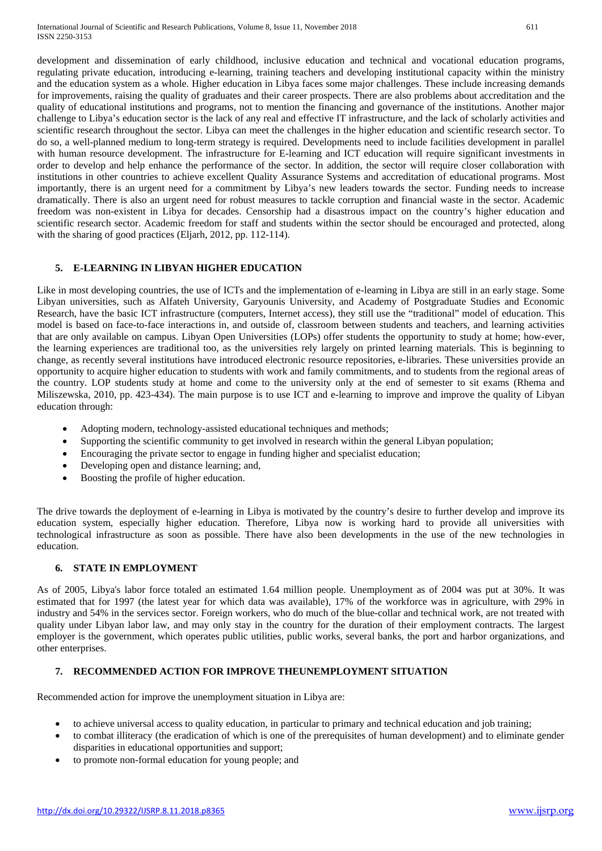development and dissemination of early childhood, inclusive education and technical and vocational education programs, regulating private education, introducing e-learning, training teachers and developing institutional capacity within the ministry and the education system as a whole. Higher education in Libya faces some major challenges. These include increasing demands for improvements, raising the quality of graduates and their career prospects. There are also problems about accreditation and the quality of educational institutions and programs, not to mention the financing and governance of the institutions. Another major challenge to Libya's education sector is the lack of any real and effective IT infrastructure, and the lack of scholarly activities and scientific research throughout the sector. Libya can meet the challenges in the higher education and scientific research sector. To do so, a well-planned medium to long-term strategy is required. Developments need to include facilities development in parallel with human resource development. The infrastructure for E-learning and ICT education will require significant investments in order to develop and help enhance the performance of the sector. In addition, the sector will require closer collaboration with institutions in other countries to achieve excellent Quality Assurance Systems and accreditation of educational programs. Most importantly, there is an urgent need for a commitment by Libya's new leaders towards the sector. Funding needs to increase dramatically. There is also an urgent need for robust measures to tackle corruption and financial waste in the sector. Academic freedom was non-existent in Libya for decades. Censorship had a disastrous impact on the country's higher education and scientific research sector. Academic freedom for staff and students within the sector should be encouraged and protected, along with the sharing of good practices (Eljarh, 2012, pp. 112-114).

## **5. E-LEARNING IN LIBYAN HIGHER EDUCATION**

Like in most developing countries, the use of ICTs and the implementation of e-learning in Libya are still in an early stage. Some Libyan universities, such as Alfateh University, Garyounis University, and Academy of Postgraduate Studies and Economic Research, have the basic ICT infrastructure (computers, Internet access), they still use the "traditional" model of education. This model is based on face-to-face interactions in, and outside of, classroom between students and teachers, and learning activities that are only available on campus. Libyan Open Universities (LOPs) offer students the opportunity to study at home; how-ever, the learning experiences are traditional too, as the universities rely largely on printed learning materials. This is beginning to change, as recently several institutions have introduced electronic resource repositories, e-libraries. These universities provide an opportunity to acquire higher education to students with work and family commitments, and to students from the regional areas of the country. LOP students study at home and come to the university only at the end of semester to sit exams (Rhema and Miliszewska, 2010, pp. 423-434). The main purpose is to use ICT and e-learning to improve and improve the quality of Libyan education through:

- Adopting modern, technology-assisted educational techniques and methods;
- Supporting the scientific community to get involved in research within the general Libyan population;
- Encouraging the private sector to engage in funding higher and specialist education;
- Developing open and distance learning; and,
- Boosting the profile of higher education.

The drive towards the deployment of e-learning in Libya is motivated by the country's desire to further develop and improve its education system, especially higher education. Therefore, Libya now is working hard to provide all universities with technological infrastructure as soon as possible. There have also been developments in the use of the new technologies in education.

#### **6. STATE IN EMPLOYMENT**

As of 2005, Libya's labor force totaled an estimated 1.64 million people. Unemployment as of 2004 was put at 30%. It was estimated that for 1997 (the latest year for which data was available), 17% of the workforce was in agriculture, with 29% in industry and 54% in the services sector. Foreign workers, who do much of the blue-collar and technical work, are not treated with quality under Libyan labor law, and may only stay in the country for the duration of their employment contracts. The largest employer is the government, which operates public utilities, public works, several banks, the port and harbor organizations, and other enterprises.

### **7. RECOMMENDED ACTION FOR IMPROVE THEUNEMPLOYMENT SITUATION**

Recommended action for improve the unemployment situation in Libya are:

- to achieve universal access to quality education, in particular to primary and technical education and job training;
- to combat illiteracy (the eradication of which is one of the prerequisites of human development) and to eliminate gender disparities in educational opportunities and support;
- to promote non-formal education for young people; and